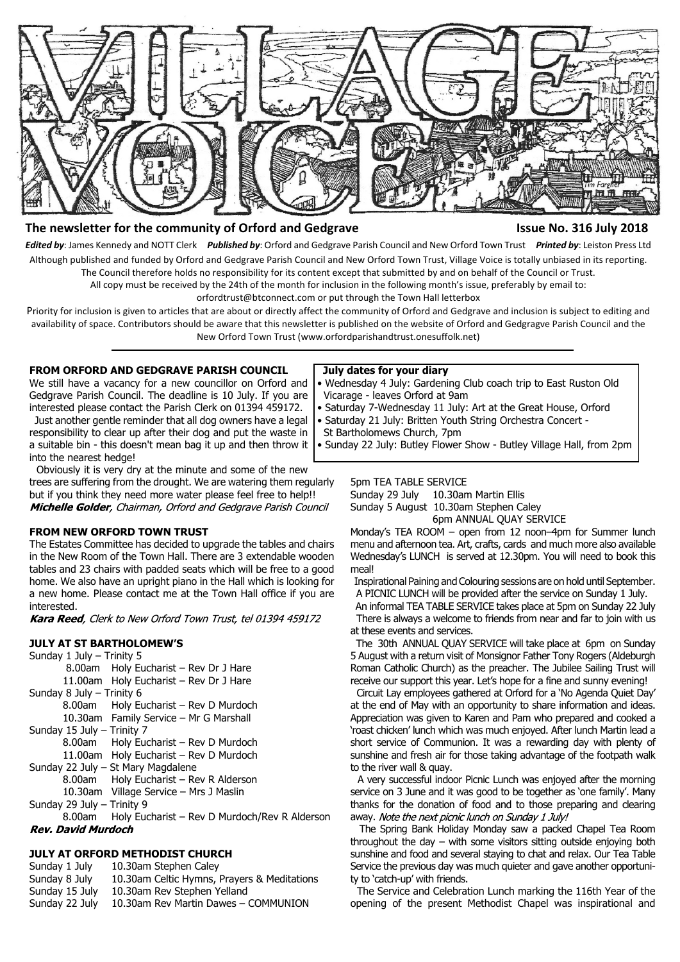

# **The newsletter for the community of Orford and Gedgrave Issue No. 316 July 2018**

*Edited by*: James Kennedy and NOTT Clerk *Published by*: Orford and Gedgrave Parish Council and New Orford Town Trust *Printed by*: Leiston Press Ltd Although published and funded by Orford and Gedgrave Parish Council and New Orford Town Trust, Village Voice is totally unbiased in its reporting. The Council therefore holds no responsibility for its content except that submitted by and on behalf of the Council or Trust.

All copy must be received by the 24th of the month for inclusion in the following month's issue, preferably by email to:

orfordtrust@btconnect.com or put through the Town Hall letterbox

Priority for inclusion is given to articles that are about or directly affect the community of Orford and Gedgrave and inclusion is subject to editing and availability of space. Contributors should be aware that this newsletter is published on the website of Orford and Gedgragve Parish Council and the New Orford Town Trust (www.orfordparishandtrust.onesuffolk.net)

# **FROM ORFORD AND GEDGRAVE PARISH COUNCIL**

We still have a vacancy for a new councillor on Orford and Gedgrave Parish Council. The deadline is 10 July. If you are interested please contact the Parish Clerk on 01394 459172.

 Just another gentle reminder that all dog owners have a legal responsibility to clear up after their dog and put the waste in a suitable bin - this doesn't mean bag it up and then throw it into the nearest hedge!

 Obviously it is very dry at the minute and some of the new trees are suffering from the drought. We are watering them regularly but if you think they need more water please feel free to help!! Michelle Golder, Chairman, Orford and Gedgrave Parish Council

# **FROM NEW ORFORD TOWN TRUST**

The Estates Committee has decided to upgrade the tables and chairs in the New Room of the Town Hall. There are 3 extendable wooden tables and 23 chairs with padded seats which will be free to a good home. We also have an upright piano in the Hall which is looking for a new home. Please contact me at the Town Hall office if you are interested.

Kara Reed, Clerk to New Orford Town Trust, tel 01394 459172

#### **JULY AT ST BARTHOLOMEW'S**

Sunday 1 July – Trinity 5 8.00am Holy Eucharist – Rev Dr J Hare 11.00am Holy Eucharist – Rev Dr J Hare Sunday 8 July – Trinity 6 8.00am Holy Eucharist – Rev D Murdoch 10.30am Family Service – Mr G Marshall Sunday 15 July – Trinity 7 8.00am Holy Eucharist – Rev D Murdoch 11.00am Holy Eucharist – Rev D Murdoch Sunday 22 July – St Mary Magdalene 8.00am Holy Eucharist – Rev R Alderson 10.30am Village Service – Mrs J Maslin Sunday 29 July – Trinity 9 8.00am Holy Eucharist – Rev D Murdoch/Rev R Alderson **Rev. David Murdoch** 

#### **JULY AT ORFORD METHODIST CHURCH**

Sunday 1 July 10.30am Stephen Caley

Sunday 8 July 10.30am Celtic Hymns, Prayers & Meditations

- Sunday 15 July 10.30am Rev Stephen Yelland
- Sunday 22 July 10.30am Rev Martin Dawes COMMUNION

#### **July dates for your diary**

- Wednesday 4 July: Gardening Club coach trip to East Ruston Old Vicarage - leaves Orford at 9am
- Saturday 7-Wednesday 11 July: Art at the Great House, Orford
- Saturday 21 July: Britten Youth String Orchestra Concert -
- St Bartholomews Church, 7pm

• Sunday 22 July: Butley Flower Show - Butley Village Hall, from 2pm

# 5pm TEA TABLE SERVICE

Sunday 29 July 10.30am Martin Ellis Sunday 5 August 10.30am Stephen Caley

6pm ANNUAL QUAY SERVICE

Monday's TEA ROOM – open from 12 noon–4pm for Summer lunch menu and afternoon tea. Art, crafts, cards and much more also available Wednesday's LUNCH is served at 12.30pm. You will need to book this meal!

 Inspirational Paining and Colouring sessions are on hold until September. A PICNIC LUNCH will be provided after the service on Sunday 1 July.

 An informal TEA TABLE SERVICE takes place at 5pm on Sunday 22 July There is always a welcome to friends from near and far to join with us at these events and services.

 The 30th ANNUAL QUAY SERVICE will take place at 6pm on Sunday 5 August with a return visit of Monsignor Father Tony Rogers (Aldeburgh Roman Catholic Church) as the preacher. The Jubilee Sailing Trust will receive our support this year. Let's hope for a fine and sunny evening!

 Circuit Lay employees gathered at Orford for a 'No Agenda Quiet Day' at the end of May with an opportunity to share information and ideas. Appreciation was given to Karen and Pam who prepared and cooked a 'roast chicken' lunch which was much enjoyed. After lunch Martin lead a short service of Communion. It was a rewarding day with plenty of sunshine and fresh air for those taking advantage of the footpath walk to the river wall & quay.

 A very successful indoor Picnic Lunch was enjoyed after the morning service on 3 June and it was good to be together as 'one family'. Many thanks for the donation of food and to those preparing and clearing away. Note the next picnic lunch on Sunday 1 July!

 The Spring Bank Holiday Monday saw a packed Chapel Tea Room throughout the day – with some visitors sitting outside enjoying both sunshine and food and several staying to chat and relax. Our Tea Table Service the previous day was much quieter and gave another opportunity to 'catch-up' with friends.

 The Service and Celebration Lunch marking the 116th Year of the opening of the present Methodist Chapel was inspirational and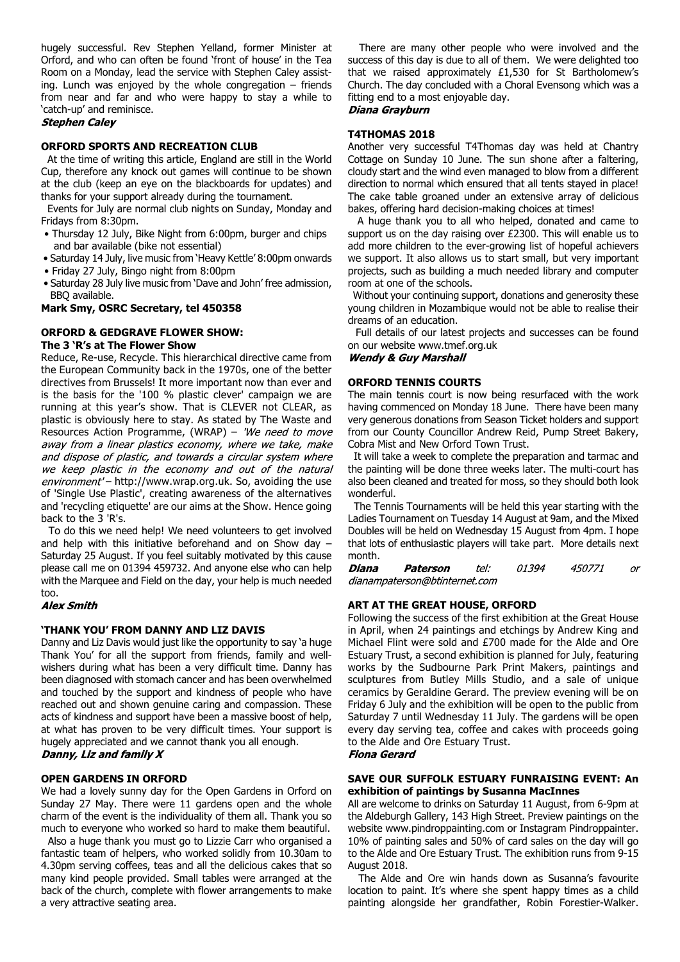hugely successful. Rev Stephen Yelland, former Minister at Orford, and who can often be found 'front of house' in the Tea Room on a Monday, lead the service with Stephen Caley assisting. Lunch was enjoyed by the whole congregation – friends from near and far and who were happy to stay a while to 'catch-up' and reminisce.

#### **Stephen Caley**

#### **ORFORD SPORTS AND RECREATION CLUB**

 At the time of writing this article, England are still in the World Cup, therefore any knock out games will continue to be shown at the club (keep an eye on the blackboards for updates) and thanks for your support already during the tournament.

 Events for July are normal club nights on Sunday, Monday and Fridays from 8:30pm.

- Thursday 12 July, Bike Night from 6:00pm, burger and chips and bar available (bike not essential)
- Saturday 14 July, live music from 'Heavy Kettle' 8:00pm onwards
- Friday 27 July, Bingo night from 8:00pm
- Saturday 28 July live music from 'Dave and John' free admission, BBQ available.

#### **Mark Smy, OSRC Secretary, tel 450358**

# **ORFORD & GEDGRAVE FLOWER SHOW: The 3 'R's at The Flower Show**

Reduce, Re-use, Recycle. This hierarchical directive came from the European Community back in the 1970s, one of the better directives from Brussels! It more important now than ever and is the basis for the '100 % plastic clever' campaign we are running at this year's show. That is CLEVER not CLEAR, as plastic is obviously here to stay. As stated by The Waste and Resources Action Programme, (WRAP) - 'We need to move away from a linear plastics economy, where we take, make and dispose of plastic, and towards a circular system where we keep plastic in the economy and out of the natural environment' - http://www.wrap.org.uk. So, avoiding the use of 'Single Use Plastic', creating awareness of the alternatives and 'recycling etiquette' are our aims at the Show. Hence going back to the 3 'R's.

 To do this we need help! We need volunteers to get involved and help with this initiative beforehand and on Show day – Saturday 25 August. If you feel suitably motivated by this cause please call me on 01394 459732. And anyone else who can help with the Marquee and Field on the day, your help is much needed too.

#### **Alex Smith**

#### **'THANK YOU' FROM DANNY AND LIZ DAVIS**

Danny and Liz Davis would just like the opportunity to say 'a huge Thank You' for all the support from friends, family and wellwishers during what has been a very difficult time. Danny has been diagnosed with stomach cancer and has been overwhelmed and touched by the support and kindness of people who have reached out and shown genuine caring and compassion. These acts of kindness and support have been a massive boost of help, at what has proven to be very difficult times. Your support is hugely appreciated and we cannot thank you all enough.

# Danny, Liz and family X

#### **OPEN GARDENS IN ORFORD**

We had a lovely sunny day for the Open Gardens in Orford on Sunday 27 May. There were 11 gardens open and the whole charm of the event is the individuality of them all. Thank you so much to everyone who worked so hard to make them beautiful.

 Also a huge thank you must go to Lizzie Carr who organised a fantastic team of helpers, who worked solidly from 10.30am to 4.30pm serving coffees, teas and all the delicious cakes that so many kind people provided. Small tables were arranged at the back of the church, complete with flower arrangements to make a very attractive seating area.

 There are many other people who were involved and the success of this day is due to all of them. We were delighted too that we raised approximately £1,530 for St Bartholomew's Church. The day concluded with a Choral Evensong which was a fitting end to a most enjoyable day.

# Diana Grayburn

#### **T4THOMAS 2018**

Another very successful T4Thomas day was held at Chantry Cottage on Sunday 10 June. The sun shone after a faltering, cloudy start and the wind even managed to blow from a different direction to normal which ensured that all tents stayed in place! The cake table groaned under an extensive array of delicious bakes, offering hard decision-making choices at times!

 A huge thank you to all who helped, donated and came to support us on the day raising over £2300. This will enable us to add more children to the ever-growing list of hopeful achievers we support. It also allows us to start small, but very important projects, such as building a much needed library and computer room at one of the schools.

 Without your continuing support, donations and generosity these young children in Mozambique would not be able to realise their dreams of an education.

 Full details of our latest projects and successes can be found on our website www.tmef.org.uk

**Wendy & Guy Marshall** 

# **ORFORD TENNIS COURTS**

The main tennis court is now being resurfaced with the work having commenced on Monday 18 June. There have been many very generous donations from Season Ticket holders and support from our County Councillor Andrew Reid, Pump Street Bakery, Cobra Mist and New Orford Town Trust.

 It will take a week to complete the preparation and tarmac and the painting will be done three weeks later. The multi-court has also been cleaned and treated for moss, so they should both look wonderful.

 The Tennis Tournaments will be held this year starting with the Ladies Tournament on Tuesday 14 August at 9am, and the Mixed Doubles will be held on Wednesday 15 August from 4pm. I hope that lots of enthusiastic players will take part. More details next month.

01394 Diana Paterson  $t$ el: 450771 or dianampaterson@btinternet.com

#### **ART AT THE GREAT HOUSE, ORFORD**

Following the success of the first exhibition at the Great House in April, when 24 paintings and etchings by Andrew King and Michael Flint were sold and £700 made for the Alde and Ore Estuary Trust, a second exhibition is planned for July, featuring works by the Sudbourne Park Print Makers, paintings and sculptures from Butley Mills Studio, and a sale of unique ceramics by Geraldine Gerard. The preview evening will be on Friday 6 July and the exhibition will be open to the public from Saturday 7 until Wednesday 11 July. The gardens will be open every day serving tea, coffee and cakes with proceeds going to the Alde and Ore Estuary Trust.

#### **Fiona Gerard**

#### **SAVE OUR SUFFOLK ESTUARY FUNRAISING EVENT: An exhibition of paintings by Susanna MacInnes**

All are welcome to drinks on Saturday 11 August, from 6-9pm at the Aldeburgh Gallery, 143 High Street. Preview paintings on the website www.pindroppainting.com or Instagram Pindroppainter. 10% of painting sales and 50% of card sales on the day will go to the Alde and Ore Estuary Trust. The exhibition runs from 9-15 August 2018.

 The Alde and Ore win hands down as Susanna's favourite location to paint. It's where she spent happy times as a child painting alongside her grandfather, Robin Forestier-Walker.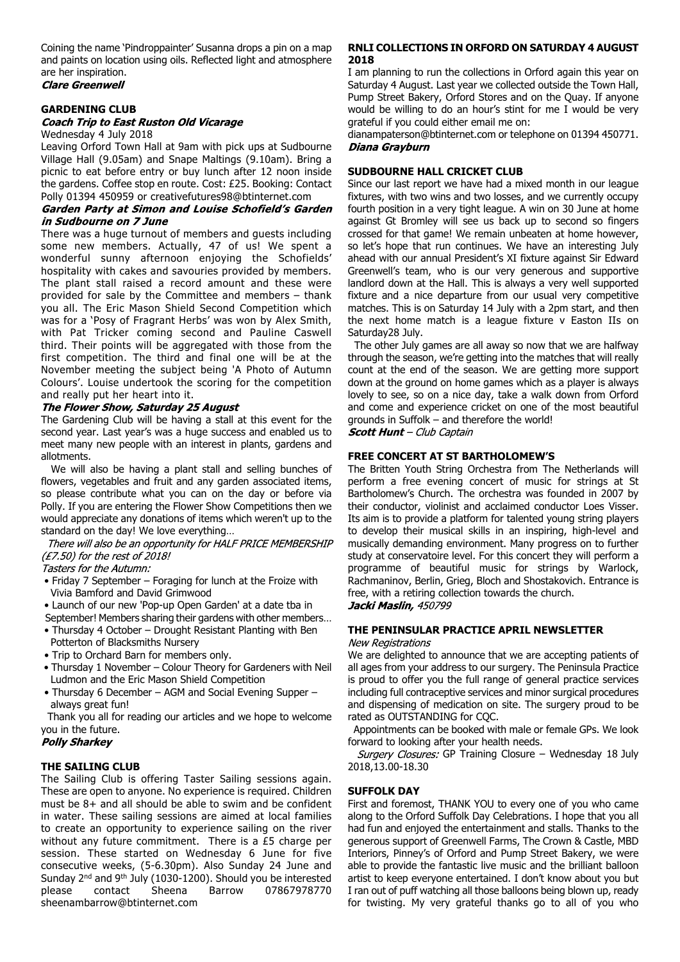Coining the name 'Pindroppainter' Susanna drops a pin on a map and paints on location using oils. Reflected light and atmosphere are her inspiration.<br>Clare Greenwell

### **GARDENING CLUB**

# **Coach Trip to East Ruston Old Vicarage**

Wednesday 4 July 2018

Leaving Orford Town Hall at 9am with pick ups at Sudbourne Village Hall (9.05am) and Snape Maltings (9.10am). Bring a picnic to eat before entry or buy lunch after 12 noon inside the gardens. Coffee stop en route. Cost: £25. Booking: Contact Polly 01394 450959 or creativefutures98@btinternet.com

# Garden Party at Simon and Louise Schofield's Garden in Sudbourne on 7 June

There was a huge turnout of members and guests including some new members. Actually, 47 of us! We spent a wonderful sunny afternoon enjoying the Schofields' hospitality with cakes and savouries provided by members. The plant stall raised a record amount and these were provided for sale by the Committee and members – thank you all. The Eric Mason Shield Second Competition which was for a 'Posy of Fragrant Herbs' was won by Alex Smith, with Pat Tricker coming second and Pauline Caswell third. Their points will be aggregated with those from the first competition. The third and final one will be at the November meeting the subject being 'A Photo of Autumn Colours'. Louise undertook the scoring for the competition and really put her heart into it.

# The Flower Show, Saturday 25 August

The Gardening Club will be having a stall at this event for the second year. Last year's was a huge success and enabled us to meet many new people with an interest in plants, gardens and allotments.

We will also be having a plant stall and selling bunches of flowers, vegetables and fruit and any garden associated items, so please contribute what you can on the day or before via Polly. If you are entering the Flower Show Competitions then we would appreciate any donations of items which weren't up to the standard on the day! We love everything…

There will also be an opportunity for HALF PRICE MEMBERSHIP (£7.50) for the rest of 2018!

#### Tasters for the Autumn:

- Friday 7 September Foraging for lunch at the Froize with Vivia Bamford and David Grimwood
- Launch of our new 'Pop-up Open Garden' at a date tba in
- September! Members sharing their gardens with other members…
- Thursday 4 October Drought Resistant Planting with Ben Potterton of Blacksmiths Nursery
- Trip to Orchard Barn for members only.
- Thursday 1 November Colour Theory for Gardeners with Neil Ludmon and the Eric Mason Shield Competition
- Thursday 6 December AGM and Social Evening Supper always great fun!

Thank you all for reading our articles and we hope to welcome you in the future.

#### **Polly Sharkey**

# **THE SAILING CLUB**

The Sailing Club is offering Taster Sailing sessions again. These are open to anyone. No experience is required. Children must be 8+ and all should be able to swim and be confident in water. These sailing sessions are aimed at local families to create an opportunity to experience sailing on the river without any future commitment. There is a £5 charge per session. These started on Wednesday 6 June for five consecutive weeks, (5-6.30pm). Also Sunday 24 June and Sunday 2nd and 9th July (1030-1200). Should you be interested please contact Sheena Barrow 07867978770 sheenambarrow@btinternet.com

# **RNLI COLLECTIONS IN ORFORD ON SATURDAY 4 AUGUST 2018**

I am planning to run the collections in Orford again this year on Saturday 4 August. Last year we collected outside the Town Hall, Pump Street Bakery, Orford Stores and on the Quay. If anyone would be willing to do an hour's stint for me I would be very grateful if you could either email me on:

dianampaterson@btinternet.com or telephone on 01394 450771. Diana Grayburn

### **SUDBOURNE HALL CRICKET CLUB**

Since our last report we have had a mixed month in our league fixtures, with two wins and two losses, and we currently occupy fourth position in a very tight league. A win on 30 June at home against Gt Bromley will see us back up to second so fingers crossed for that game! We remain unbeaten at home however, so let's hope that run continues. We have an interesting July ahead with our annual President's XI fixture against Sir Edward Greenwell's team, who is our very generous and supportive landlord down at the Hall. This is always a very well supported fixture and a nice departure from our usual very competitive matches. This is on Saturday 14 July with a 2pm start, and then the next home match is a league fixture v Easton IIs on Saturday28 July.

 The other July games are all away so now that we are halfway through the season, we're getting into the matches that will really count at the end of the season. We are getting more support down at the ground on home games which as a player is always lovely to see, so on a nice day, take a walk down from Orford and come and experience cricket on one of the most beautiful grounds in Suffolk – and therefore the world!

**Scott Hunt** - Club Captain

# **FREE CONCERT AT ST BARTHOLOMEW'S**

The Britten Youth String Orchestra from The Netherlands will perform a free evening concert of music for strings at St Bartholomew's Church. The orchestra was founded in 2007 by their conductor, violinist and acclaimed conductor Loes Visser. Its aim is to provide a platform for talented young string players to develop their musical skills in an inspiring, high-level and musically demanding environment. Many progress on to further study at conservatoire level. For this concert they will perform a programme of beautiful music for strings by Warlock, Rachmaninov, Berlin, Grieg, Bloch and Shostakovich. Entrance is free, with a retiring collection towards the church. Jacki Maslin, 450799

**THE PENINSULAR PRACTICE APRIL NEWSLETTER**

#### **New Registrations**

We are delighted to announce that we are accepting patients of all ages from your address to our surgery. The Peninsula Practice is proud to offer you the full range of general practice services including full contraceptive services and minor surgical procedures and dispensing of medication on site. The surgery proud to be rated as OUTSTANDING for CQC.

 Appointments can be booked with male or female GPs. We look forward to looking after your health needs.

Surgery Closures: GP Training Closure - Wednesday 18 July 2018,13.00-18.30

# **SUFFOLK DAY**

First and foremost, THANK YOU to every one of you who came along to the Orford Suffolk Day Celebrations. I hope that you all had fun and enjoyed the entertainment and stalls. Thanks to the generous support of Greenwell Farms, The Crown & Castle, MBD Interiors, Pinney's of Orford and Pump Street Bakery, we were able to provide the fantastic live music and the brilliant balloon artist to keep everyone entertained. I don't know about you but I ran out of puff watching all those balloons being blown up, ready for twisting. My very grateful thanks go to all of you who